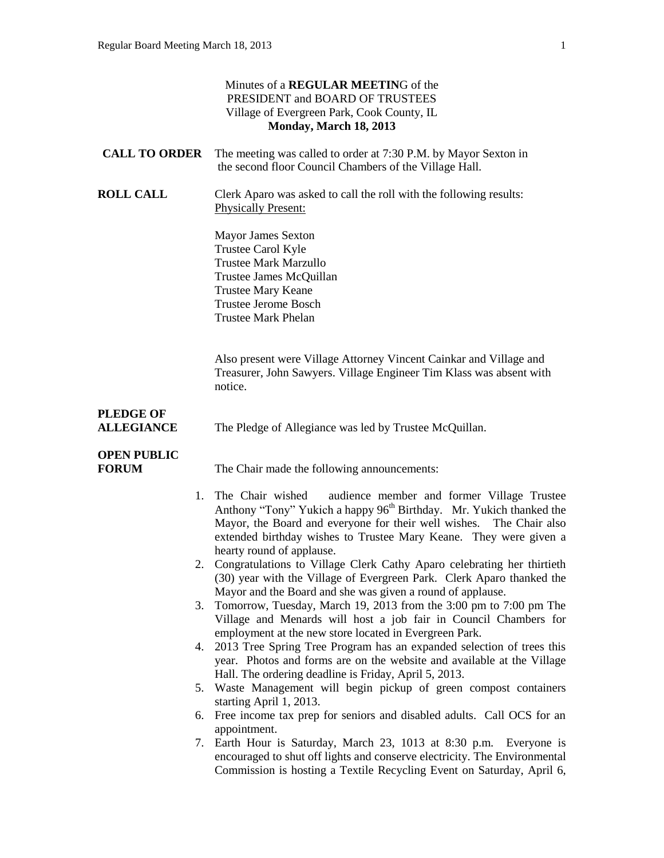|                                       | Minutes of a <b>REGULAR MEETING</b> of the<br>PRESIDENT and BOARD OF TRUSTEES<br>Village of Evergreen Park, Cook County, IL<br>Monday, March 18, 2013                                                                                                                                                                         |
|---------------------------------------|-------------------------------------------------------------------------------------------------------------------------------------------------------------------------------------------------------------------------------------------------------------------------------------------------------------------------------|
| <b>CALL TO ORDER</b>                  | The meeting was called to order at 7:30 P.M. by Mayor Sexton in<br>the second floor Council Chambers of the Village Hall.                                                                                                                                                                                                     |
| <b>ROLL CALL</b>                      | Clerk Aparo was asked to call the roll with the following results:<br><b>Physically Present:</b>                                                                                                                                                                                                                              |
|                                       | <b>Mayor James Sexton</b><br>Trustee Carol Kyle<br><b>Trustee Mark Marzullo</b><br>Trustee James McQuillan<br><b>Trustee Mary Keane</b><br><b>Trustee Jerome Bosch</b><br><b>Trustee Mark Phelan</b>                                                                                                                          |
|                                       | Also present were Village Attorney Vincent Cainkar and Village and<br>Treasurer, John Sawyers. Village Engineer Tim Klass was absent with<br>notice.                                                                                                                                                                          |
| <b>PLEDGE OF</b><br><b>ALLEGIANCE</b> | The Pledge of Allegiance was led by Trustee McQuillan.                                                                                                                                                                                                                                                                        |
| <b>OPEN PUBLIC</b><br><b>FORUM</b>    | The Chair made the following announcements:                                                                                                                                                                                                                                                                                   |
|                                       | 1. The Chair wished<br>audience member and former Village Trustee<br>Anthony "Tony" Yukich a happy 96 <sup>th</sup> Birthday. Mr. Yukich thanked the<br>Mayor, the Board and everyone for their well wishes. The Chair also<br>extended birthday wishes to Trustee Mary Keane. They were given a<br>hearty round of applause. |
|                                       | 2. Congratulations to Village Clerk Cathy Aparo celebrating her thirtieth<br>(30) year with the Village of Evergreen Park. Clerk Aparo thanked the<br>Mayor and the Board and she was given a round of applause.                                                                                                              |
|                                       | 3. Tomorrow, Tuesday, March 19, 2013 from the 3:00 pm to 7:00 pm The<br>Village and Menards will host a job fair in Council Chambers for<br>employment at the new store located in Evergreen Park.                                                                                                                            |
|                                       | 4. 2013 Tree Spring Tree Program has an expanded selection of trees this<br>year. Photos and forms are on the website and available at the Village<br>Hall. The ordering deadline is Friday, April 5, 2013.                                                                                                                   |
|                                       | 5. Waste Management will begin pickup of green compost containers<br>starting April 1, 2013.                                                                                                                                                                                                                                  |
| 6.                                    | Free income tax prep for seniors and disabled adults. Call OCS for an<br>appointment.                                                                                                                                                                                                                                         |
| 7.                                    | Earth Hour is Saturday, March 23, 1013 at 8:30 p.m. Everyone is<br>encouraged to shut off lights and conserve electricity. The Environmental<br>Commission is hosting a Textile Recycling Event on Saturday, April 6,                                                                                                         |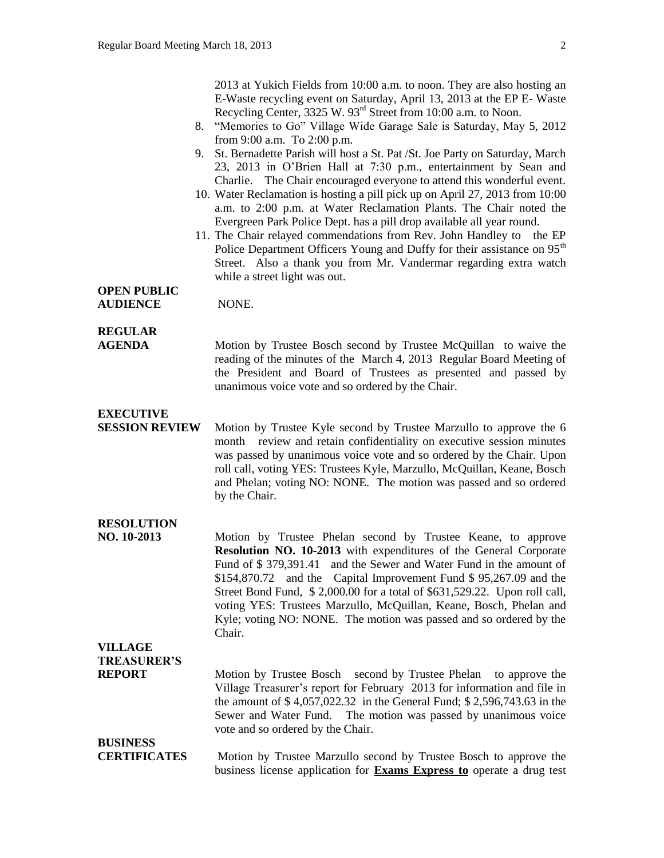2013 at Yukich Fields from 10:00 a.m. to noon. They are also hosting an E-Waste recycling event on Saturday, April 13, 2013 at the EP E- Waste Recycling Center, 3325 W. 93<sup>rd</sup> Street from 10:00 a.m. to Noon.

- 8. "Memories to Go" Village Wide Garage Sale is Saturday, May 5, 2012 from 9:00 a.m. To 2:00 p.m.
- 9. St. Bernadette Parish will host a St. Pat /St. Joe Party on Saturday, March 23, 2013 in O'Brien Hall at 7:30 p.m., entertainment by Sean and Charlie. The Chair encouraged everyone to attend this wonderful event.
- 10. Water Reclamation is hosting a pill pick up on April 27, 2013 from 10:00 a.m. to 2:00 p.m. at Water Reclamation Plants. The Chair noted the Evergreen Park Police Dept. has a pill drop available all year round.
- 11. The Chair relayed commendations from Rev. John Handley to the EP Police Department Officers Young and Duffy for their assistance on 95<sup>th</sup> Street. Also a thank you from Mr. Vandermar regarding extra watch while a street light was out.

#### **OPEN PUBLIC AUDIENCE** NONE.

## **REGULAR**

**AGENDA Motion by Trustee Bosch second by Trustee McQuillan** to waive the reading of the minutes of the March 4, 2013 Regular Board Meeting of the President and Board of Trustees as presented and passed by unanimous voice vote and so ordered by the Chair.

## **EXECUTIVE**

**SESSION REVIEW** Motion by Trustee Kyle second by Trustee Marzullo to approve the 6 month review and retain confidentiality on executive session minutes was passed by unanimous voice vote and so ordered by the Chair. Upon roll call, voting YES: Trustees Kyle, Marzullo, McQuillan, Keane, Bosch and Phelan; voting NO: NONE. The motion was passed and so ordered by the Chair.

# **RESOLUTION**

**NO. 10-2013** Motion by Trustee Phelan second by Trustee Keane, to approve **Resolution NO. 10-2013** with expenditures of the General Corporate Fund of \$ 379,391.41 and the Sewer and Water Fund in the amount of \$154,870.72 and the Capital Improvement Fund \$ 95,267.09 and the Street Bond Fund, \$ 2,000.00 for a total of \$631,529.22. Upon roll call, voting YES: Trustees Marzullo, McQuillan, Keane, Bosch, Phelan and Kyle; voting NO: NONE. The motion was passed and so ordered by the Chair.

# **VILLAGE**

**TREASURER'S**

**REPORT** Motion by Trustee Bosch second by Trustee Phelan to approve the Village Treasurer's report for February 2013 for information and file in the amount of \$ 4,057,022.32 in the General Fund; \$ 2,596,743.63 in the Sewer and Water Fund. The motion was passed by unanimous voice vote and so ordered by the Chair.

#### **BUSINESS CERTIFICATES** Motion by Trustee Marzullo second by Trustee Bosch to approve the business license application for **Exams Express to** operate a drug test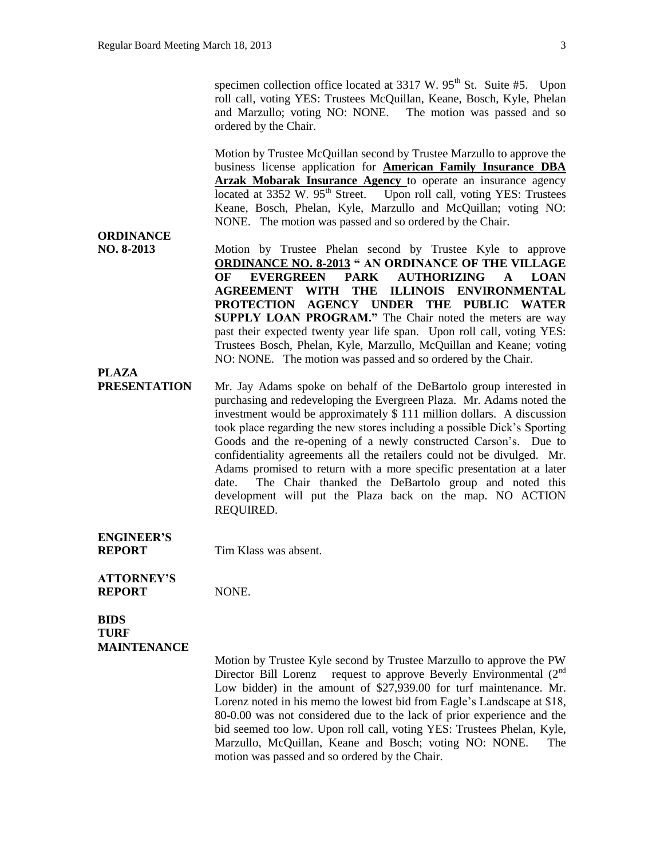specimen collection office located at  $3317 \text{ W}$ .  $95^{\text{th}}$  St. Suite #5. Upon roll call, voting YES: Trustees McQuillan, Keane, Bosch, Kyle, Phelan and Marzullo; voting NO: NONE. The motion was passed and so ordered by the Chair.

Motion by Trustee McQuillan second by Trustee Marzullo to approve the business license application for **American Family Insurance DBA Arzak Mobarak Insurance Agency** to operate an insurance agency located at 3352 W. 95<sup>th</sup> Street. Upon roll call, voting YES: Trustees Keane, Bosch, Phelan, Kyle, Marzullo and McQuillan; voting NO: NONE. The motion was passed and so ordered by the Chair.

# **ORDINANCE**

**PLAZA**

**NO. 8-2013** Motion by Trustee Phelan second by Trustee Kyle to approve **ORDINANCE NO. 8-2013 " AN ORDINANCE OF THE VILLAGE OF EVERGREEN PARK AUTHORIZING A LOAN AGREEMENT WITH THE ILLINOIS ENVIRONMENTAL PROTECTION AGENCY UNDER THE PUBLIC WATER SUPPLY LOAN PROGRAM."** The Chair noted the meters are way past their expected twenty year life span. Upon roll call, voting YES: Trustees Bosch, Phelan, Kyle, Marzullo, McQuillan and Keane; voting NO: NONE. The motion was passed and so ordered by the Chair.

**PRESENTATION** Mr. Jay Adams spoke on behalf of the DeBartolo group interested in purchasing and redeveloping the Evergreen Plaza. Mr. Adams noted the investment would be approximately \$ 111 million dollars. A discussion took place regarding the new stores including a possible Dick's Sporting Goods and the re-opening of a newly constructed Carson's. Due to confidentiality agreements all the retailers could not be divulged. Mr. Adams promised to return with a more specific presentation at a later date. The Chair thanked the DeBartolo group and noted this development will put the Plaza back on the map. NO ACTION REQUIRED.

**ENGINEER'S REPORT** Tim Klass was absent.

**ATTORNEY'S REPORT NONE.** 

**TURF MAINTENANCE**

**BIDS** 

Motion by Trustee Kyle second by Trustee Marzullo to approve the PW Director Bill Lorenz request to approve Beverly Environmental (2<sup>nd</sup>) Low bidder) in the amount of \$27,939.00 for turf maintenance. Mr. Lorenz noted in his memo the lowest bid from Eagle's Landscape at \$18, 80-0.00 was not considered due to the lack of prior experience and the bid seemed too low. Upon roll call, voting YES: Trustees Phelan, Kyle, Marzullo, McQuillan, Keane and Bosch; voting NO: NONE. The motion was passed and so ordered by the Chair.